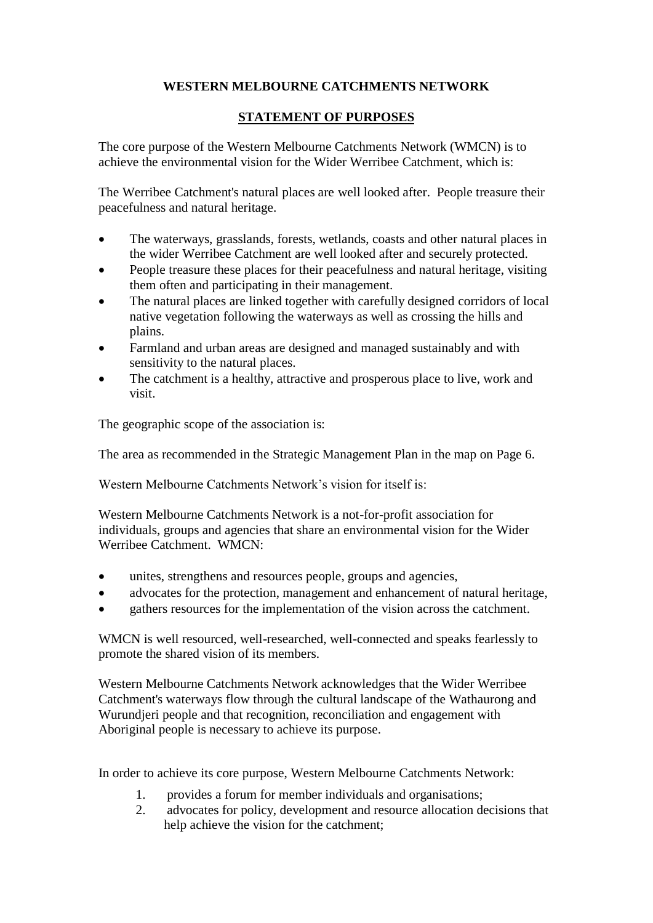## **WESTERN MELBOURNE CATCHMENTS NETWORK**

## **STATEMENT OF PURPOSES**

The core purpose of the Western Melbourne Catchments Network (WMCN) is to achieve the environmental vision for the Wider Werribee Catchment, which is:

The Werribee Catchment's natural places are well looked after. People treasure their peacefulness and natural heritage.

- The waterways, grasslands, forests, wetlands, coasts and other natural places in the wider Werribee Catchment are well looked after and securely protected.
- People treasure these places for their peacefulness and natural heritage, visiting them often and participating in their management.
- The natural places are linked together with carefully designed corridors of local native vegetation following the waterways as well as crossing the hills and plains.
- Farmland and urban areas are designed and managed sustainably and with sensitivity to the natural places.
- The catchment is a healthy, attractive and prosperous place to live, work and visit.

The geographic scope of the association is:

The area as recommended in the Strategic Management Plan in the map on Page 6.

Western Melbourne Catchments Network's vision for itself is:

Western Melbourne Catchments Network is a not-for-profit association for individuals, groups and agencies that share an environmental vision for the Wider Werribee Catchment. WMCN:

- unites, strengthens and resources people, groups and agencies,
- advocates for the protection, management and enhancement of natural heritage,
- gathers resources for the implementation of the vision across the catchment.

WMCN is well resourced, well-researched, well-connected and speaks fearlessly to promote the shared vision of its members.

Western Melbourne Catchments Network acknowledges that the Wider Werribee Catchment's waterways flow through the cultural landscape of the Wathaurong and Wurundjeri people and that recognition, reconciliation and engagement with Aboriginal people is necessary to achieve its purpose.

In order to achieve its core purpose, Western Melbourne Catchments Network:

- 1. provides a forum for member individuals and organisations;
- 2. advocates for policy, development and resource allocation decisions that help achieve the vision for the catchment;